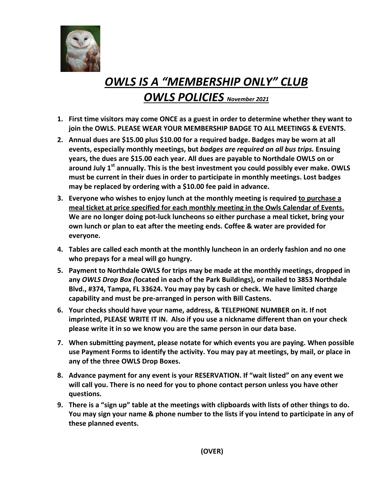

## *OWLS IS A "MEMBERSHIP ONLY" CLUB OWLS POLICIES November <sup>2021</sup>*

- **1. First time visitors may come ONCE as a guest in order to determine whether they want to join the OWLS. PLEASE WEAR YOUR MEMBERSHIP BADGE TO ALL MEETINGS & EVENTS.**
- **2. Annual dues are \$15.00 plus \$10.00 for a required badge. Badges may be worn at all events, especially monthly meetings, but** *badges are required on all bus trips.* **Ensuing years, the dues are \$15.00 each year. All dues are payable to Northdale OWLS on or around July 1st annually. This is the best investment you could possibly ever make. OWLS must be current in their dues in order to participate in monthly meetings. Lost badges may be replaced by ordering with a \$10.00 fee paid in advance.**
- **3. Everyone who wishes to enjoy lunch at the monthly meeting is required to purchase a meal ticket at price specified for each monthly meeting in the Owls Calendar of Events. We are no longer doing pot‐luck luncheons so either purchase a meal ticket, bring your own lunch or plan to eat after the meeting ends. Coffee & water are provided for everyone.**
- **4. Tables are called each month at the monthly luncheon in an orderly fashion and no one who prepays for a meal will go hungry.**
- **5. Payment to Northdale OWLS for trips may be made at the monthly meetings, dropped in any** *OWLS Drop Box (***located in each of the Park Buildings), or mailed to 3853 Northdale Blvd., #374, Tampa, FL 33624. You may pay by cash or check. We have limited charge capability and must be pre‐arranged in person with Bill Castens.**
- **6. Your checks should have your name, address, & TELEPHONE NUMBER on it. If not imprinted, PLEASE WRITE IT IN. Also if you use a nickname different than on your check please write it in so we know you are the same person in our data base.**
- **7. When submitting payment, please notate for which events you are paying. When possible use Payment Forms to identify the activity. You may pay at meetings, by mail, or place in any of the three OWLS Drop Boxes.**
- **8. Advance payment for any event is your RESERVATION. If "wait listed" on any event we will call you. There is no need for you to phone contact person unless you have other questions.**
- 9. There is a "sign up" table at the meetings with clipboards with lists of other things to do. **You may sign your name & phone number to the lists if you intend to participate in any of these planned events.**